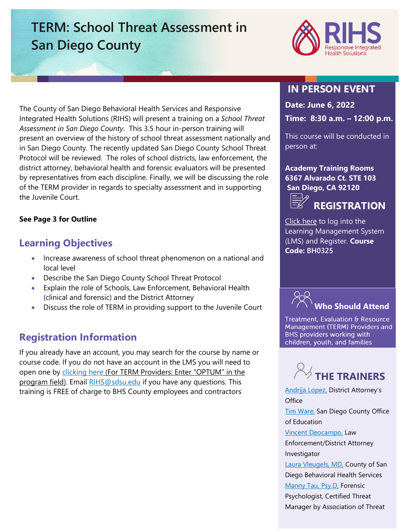# **TERM: School Threat Assessment in San Diego County**



The County of San Diego Behavioral Health Services and Responsive Integrated Health Solutions (RIHS) will present a training on a *School Threat Assessment in San Diego County*. This 3.5 hour in-person training will present an overview of the history of school threat assessment nationally and in San Diego County. The recently updated San Diego County School Threat Protocol will be reviewed. The roles of school districts, law enforcement, the district attorney, behavioral health and forensic evaluators will be presented by representatives from each discipline. Finally, we will be discussing the role of the TERM provider in regards to specialty assessment and in supporting the Juvenile Court.

#### **See Page 3 for Outline**

### **Learning Objectives**

- Increase awareness of school threat phenomenon on a national and local level
- Describe the San Diego County School Threat Protocol
- Explain the role of Schools, Law Enforcement, Behavioral Health (clinical and forensic) and the District Attorney
- Discuss the role of TERM in providing support to the Juvenile Court

### **Registration Information**

If you already have an account, you may search for the course by name or course code. If you do not have an account in the LMS you will need to open one by [clicking here](https://sdsumbrs.az1.qualtrics.com/jfe/form/SV_0c75lYpeur5l9rv) (For TERM Providers: Enter "OPTUM" in the program field). Email [RIHS@sdsu.edu](file:///C:/Users/mperezgonzalez/Downloads/RIHS@sdsu.edu) if you have any questions. This training is FREE of charge to BHS County employees and contractors

## **IN PERSON EVENT**

**Date: June 6, 2022**

**Time: 8:30 a.m. – 12:00 p.m.**

This course will be conducted in person at:

**Academy Training Rooms 6367 Alvarado Ct. STE 103 San Diego, CA 92120 REGISTRATION**

[Click here](https://academy.sumtotal.host/Broker/Account/Login.aspx?wtrealm=https%3a%2f%2fACADEMY.sumtotal.host%2fcore%2f&ReturnUrl=http%3a%2f%2facademy.sumtotal.host%2fBroker%2fToken%2fSaml11.ashx%3fwa%3dwsignin1.0%26wtrealm%3dhttps%253a%252f%252fACADEMY.sumtotal.host%252fcore%252f%26wreply%3dhttp%253a%252f%252facademy.sumtotal.host%252fcore%252f&IsHybridOrNativeClient=False&domainid=52160A28FC58BBBE7D714E075077AC76) to log into the Learning Management System (LMS) and Register. **Course Code: BH0325** 



Treatment, Evaluation & Resource Management (TERM) Providers and BHS providers working with children, youth, and families



[Andrija Lopez,](https://theacademy.sdsu.edu/rihsbios/andrija-lopez/) District Attorney's **Office [Tim Ware,](https://theacademy.sdsu.edu/rihsbios/tim-ware/) San Diego County Office** of Education [Vincent Deocampo,](https://theacademy.sdsu.edu/rihsbios/vincent-deocampo/) Law Enforcement/District Attorney Investigator [Laura Vleugels, MD,](https://theacademy.sdsu.edu/rihsbios/laura-vleugels-md/) County of San Diego Behavioral Health Services [Manny Tau, Psy.D,](https://theacademy.sdsu.edu/rihsbios/manny-tau-psy-d-ctm/) Forensic Psychologist, Certified Threat Manager by Association of Threat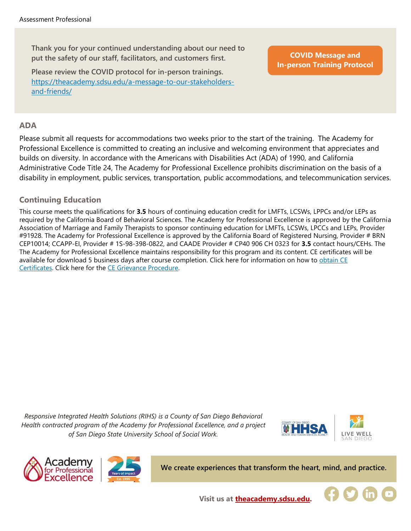**Thank you for your continued understanding about our need to put the safety of our staff, facilitators, and customers first.**

**Please review the COVID protocol for in-person trainings.**  [https://theacademy.sdsu.edu/a-message-to-our-stakeholders](https://theacademy.sdsu.edu/a-message-to-our-stakeholders-and-friends/)[and-friends/](https://theacademy.sdsu.edu/a-message-to-our-stakeholders-and-friends/)

**COVID Message and [In-person Training Protocol](https://theacademy.sdsu.edu/a-message-to-our-stakeholders-and-friends/)**

#### **ADA**

Please submit all requests for accommodations two weeks prior to the start of the training. The Academy for Professional Excellence is committed to creating an inclusive and welcoming environment that appreciates and builds on diversity. In accordance with the Americans with Disabilities Act (ADA) of 1990, and California Administrative Code Title 24, The Academy for Professional Excellence prohibits discrimination on the basis of a disability in employment, public services, transportation, public accommodations, and telecommunication services.

#### **Continuing Education**

This course meets the qualifications for **3.5** hours of continuing education credit for LMFTs, LCSWs, LPPCs and/or LEPs as required by the California Board of Behavioral Sciences. The Academy for Professional Excellence is approved by the California Association of Marriage and Family Therapists to sponsor continuing education for LMFTs, LCSWs, LPCCs and LEPs, Provider #91928. The Academy for Professional Excellence is approved by the California Board of Registered Nursing, Provider # BRN CEP10014; CCAPP-EI, Provider # 1S-98-398-0822, and CAADE Provider # CP40 906 CH 0323 for **3.5** contact hours/CEHs. The The Academy for Professional Excellence maintains responsibility for this program and its content. CE certificates will be available for download 5 business days after course completion. Click here for information on how to obtain CE [Certificates.](https://theacademy.sdsu.edu/programs/rihs/rihs-faq/) Click here for the [CE Grievance Procedure.](https://drive.google.com/file/d/10H4zN0gLatK2hP5SJpe0HTZkZpYm8GRj/view)

*Responsive Integrated Health Solutions (RIHS) is a County of San Diego Behavioral Health contracted program of the Academy for Professional Excellence, and a project of San Diego State University School of Social Work.*







**We create experiences that transform the heart, mind, and practice.**



**Visit us at [theacademy.sdsu.edu.](https://theacademy.sdsu.edu/)**